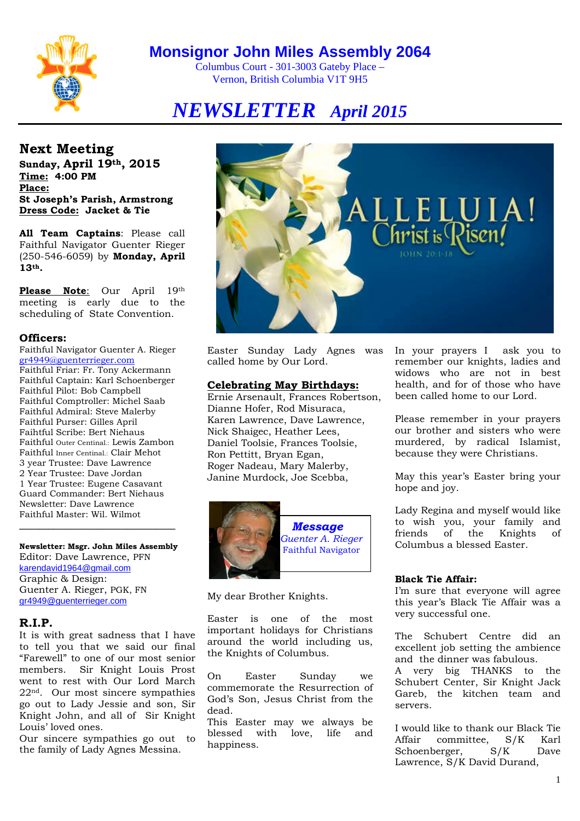

Columbus Court - 301-3003 Gateby Place – Vernon, British Columbia V1T 9H5

# *NEWSLETTER April 2015*

**Next Meeting Sunday, April 19th, 2015 Time: 4:00 PM Place: St Joseph's Parish, Armstrong Dress Code: Jacket & Tie**

**All Team Captains**: Please call Faithful Navigator Guenter Rieger (250-546-6059) by **Monday, April 13th.**

**Please Note**: Our April 19th meeting is early due to the scheduling of State Convention.

#### **Officers:**

Faithful Navigator Guenter A. Rieger gr4949@guenterrieger.com Faithful Friar: Fr. Tony Ackermann Faithful Captain: Karl Schoenberger Faithful Pilot: Bob Campbell Faithful Comptroller: Michel Saab Faithful Admiral: Steve Malerby Faithful Purser: Gilles April Faihtful Scribe: Bert Niehaus Faithful Outer Centinal.: Lewis Zambon Faithful Inner Centinal.: Clair Mehot 3 year Trustee: Dave Lawrence 2 Year Trustee: Dave Jordan 1 Year Trustee: Eugene Casavant Guard Commander: Bert Niehaus Newsletter: Dave Lawrence Faithful Master: Wil. Wilmot

**Newsletter: Msgr. John Miles Assembly** Editor: Dave Lawrence, PFN karendavid1964@gmail.com Graphic & Design: Guenter A. Rieger, PGK, FN gr4949@guenterrieger.com

**\_\_\_\_\_\_\_\_\_\_\_\_\_\_\_\_\_\_\_\_\_\_\_\_\_\_\_\_\_\_\_\_**

#### **R.I.P.**

It is with great sadness that I have to tell you that we said our final "Farewell" to one of our most senior members. Sir Knight Louis Prost went to rest with Our Lord March 22nd. Our most sincere sympathies go out to Lady Jessie and son, Sir Knight John, and all of Sir Knight Louis' loved ones.

Our sincere sympathies go out to the family of Lady Agnes Messina.



Easter Sunday Lady Agnes was called home by Our Lord.

#### **Celebrating May Birthdays:**

Ernie Arsenault, Frances Robertson, Dianne Hofer, Rod Misuraca, Karen Lawrence, Dave Lawrence, Nick Shaigec, Heather Lees, Daniel Toolsie, Frances Toolsie, Ron Pettitt, Bryan Egan, Roger Nadeau, Mary Malerby, Janine Murdock, Joe Scebba,



My dear Brother Knights.

Easter is one of the most important holidays for Christians around the world including us, the Knights of Columbus.

On Easter Sunday we commemorate the Resurrection of God's Son, Jesus Christ from the dead.

This Easter may we always be blessed with love, life and happiness.

In your prayers I ask you to remember our knights, ladies and widows who are not in best health, and for of those who have been called home to our Lord.

Please remember in your prayers our brother and sisters who were murdered, by radical Islamist, because they were Christians.

May this year's Easter bring your hope and joy.

Lady Regina and myself would like to wish you, your family and friends of the Knights of Columbus a blessed Easter.

#### **Black Tie Affair:**

I'm sure that everyone will agree this year's Black Tie Affair was a very successful one.

The Schubert Centre did an excellent job setting the ambience and the dinner was fabulous.

A very big THANKS to the Schubert Center, Sir Knight Jack Gareb, the kitchen team and servers.

I would like to thank our Black Tie Affair committee, S/K Karl Schoenberger, S/K Dave Lawrence, S/K David Durand,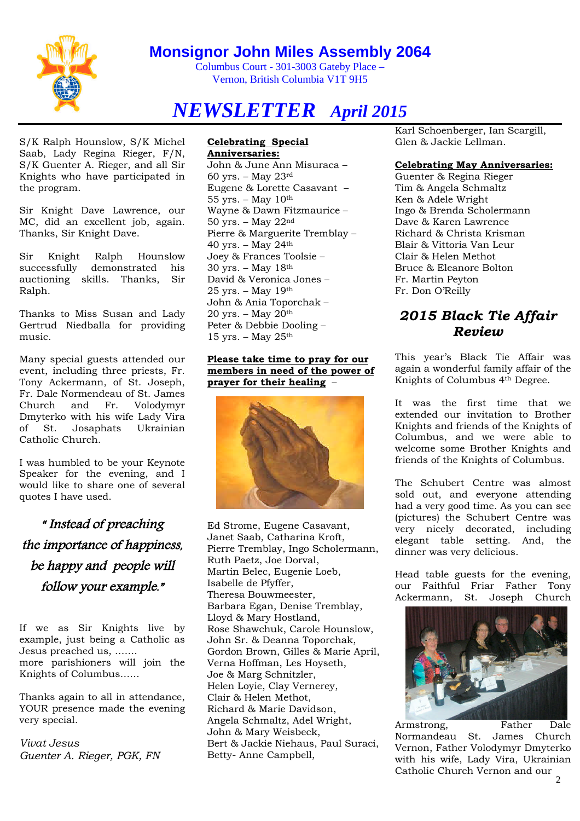

Columbus Court - 301-3003 Gateby Place – Vernon, British Columbia V1T 9H5

# *NEWSLETTER April 2015*

S/K Ralph Hounslow, S/K Michel Saab, Lady Regina Rieger, F/N, S/K Guenter A. Rieger, and all Sir Knights who have participated in the program.

Sir Knight Dave Lawrence, our MC, did an excellent job, again. Thanks, Sir Knight Dave.

Sir Knight Ralph Hounslow successfully demonstrated his auctioning skills. Thanks, Sir Ralph.

Thanks to Miss Susan and Lady Gertrud Niedballa for providing music.

Many special guests attended our event, including three priests, Fr. Tony Ackermann, of St. Joseph, Fr. Dale Normendeau of St. James Church and Fr. Volodymyr Dmyterko with his wife Lady Vira of St. Josaphats Ukrainian Catholic Church.

I was humbled to be your Keynote Speaker for the evening, and I would like to share one of several quotes I have used.

# " Instead of preaching the importance of happiness, be happy and people will follow your example."

If we as Sir Knights live by example, just being a Catholic as Jesus preached us, ……. more parishioners will join the Knights of Columbus……

Thanks again to all in attendance, YOUR presence made the evening very special.

*Vivat Jesus Guenter A. Rieger, PGK, FN*

#### **Celebrating Special Anniversaries:**

John & June Ann Misuraca – 60 yrs. – May 23rd Eugene & Lorette Casavant –  $55 \text{ yrs.} - \text{May } 10^{\text{th}}$ Wayne & Dawn Fitzmaurice – 50 yrs. – May 22nd Pierre & Marguerite Tremblay – 40 yrs. – May 24th Joey & Frances Toolsie – 30 yrs. – May 18th David & Veronica Jones – 25 yrs. – May 19th John & Ania Toporchak – 20 yrs. – May  $20<sup>th</sup>$ Peter & Debbie Dooling – 15 yrs. – May  $25<sup>th</sup>$ 

#### **Please take time to pray for our members in need of the power of prayer for their healing** –



Ed Strome, Eugene Casavant, Janet Saab, Catharina Kroft, Pierre Tremblay, Ingo Scholermann, Ruth Paetz, Joe Dorval, Martin Belec, Eugenie Loeb, Isabelle de Pfyffer, Theresa Bouwmeester, Barbara Egan, Denise Tremblay, Lloyd & Mary Hostland, Rose Shawchuk, Carole Hounslow, John Sr. & Deanna Toporchak, Gordon Brown, Gilles & Marie April, Verna Hoffman, Les Hoyseth, Joe & Marg Schnitzler, Helen Loyie, Clay Vernerey, Clair & Helen Methot, Richard & Marie Davidson, Angela Schmaltz, Adel Wright, John & Mary Weisbeck, Bert & Jackie Niehaus, Paul Suraci, Betty- Anne Campbell,

Karl Schoenberger, Ian Scargill, Glen & Jackie Lellman.

#### **Celebrating May Anniversaries:**

Guenter & Regina Rieger Tim & Angela Schmaltz Ken & Adele Wright Ingo & Brenda Scholermann Dave & Karen Lawrence Richard & Christa Krisman Blair & Vittoria Van Leur Clair & Helen Methot Bruce & Eleanore Bolton Fr. Martin Peyton Fr. Don O'Reilly

### *2015 Black Tie Affair Review*

This year's Black Tie Affair was again a wonderful family affair of the Knights of Columbus 4th Degree.

It was the first time that we extended our invitation to Brother Knights and friends of the Knights of Columbus, and we were able to welcome some Brother Knights and friends of the Knights of Columbus.

The Schubert Centre was almost sold out, and everyone attending had a very good time. As you can see (pictures) the Schubert Centre was very nicely decorated, including elegant table setting. And, the dinner was very delicious.

Head table guests for the evening, our Faithful Friar Father Tony Ackermann, St. Joseph Church



Armstrong, Father Dale Normandeau St. James Church Vernon, Father Volodymyr Dmyterko with his wife, Lady Vira, Ukrainian Catholic Church Vernon and our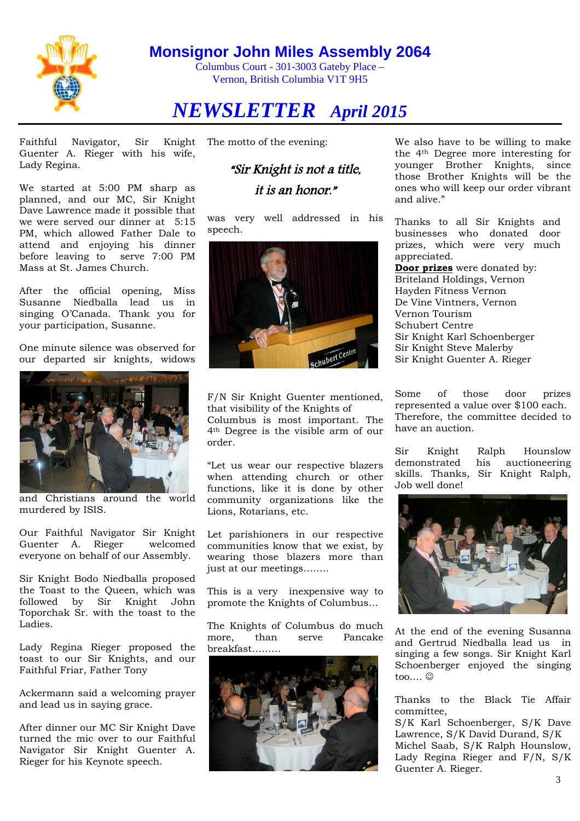

Columbus Court - 301-3003 Gateby Place – Vernon, British Columbia V1T 9H5

# *NEWSLETTER April 2015*

Faithful Navigator, Sir Knight Guenter A. Rieger with his wife, Lady Regina.

We started at 5:00 PM sharp as planned, and our MC, Sir Knight Dave Lawrence made it possible that we were served our dinner at 5:15 PM, which allowed Father Dale to attend and enjoying his dinner before leaving to serve 7:00 PM Mass at St. James Church.

After the official opening, Miss Susanne Niedballa lead us in singing O'Canada. Thank you for your participation, Susanne.

One minute silence was observed for our departed sir knights, widows



and Christians around the world murdered by ISIS.

Our Faithful Navigator Sir Knight Guenter A. Rieger welcomed everyone on behalf of our Assembly.

Sir Knight Bodo Niedballa proposed the Toast to the Queen, which was followed by Sir Knight John Toporchak Sr. with the toast to the Ladies.

Lady Regina Rieger proposed the toast to our Sir Knights, and our Faithful Friar, Father Tony

Ackermann said a welcoming prayer and lead us in saying grace.

After dinner our MC Sir Knight Dave turned the mic over to our Faithful Navigator Sir Knight Guenter A. Rieger for his Keynote speech.

The motto of the evening:

# "Sir Knight is not <sup>a</sup> title,

it is an honor."

was very well addressed in his speech.



F/N Sir Knight Guenter mentioned, that visibility of the Knights of Columbus is most important. The 4th Degree is the visible arm of our order.

"Let us wear our respective blazers when attending church or other functions, like it is done by other community organizations like the Lions, Rotarians, etc.

Let parishioners in our respective communities know that we exist, by wearing those blazers more than just at our meetings……..

This is a very inexpensive way to promote the Knights of Columbus…

The Knights of Columbus do much more, than serve Pancake breakfast………



We also have to be willing to make the 4th Degree more interesting for younger Brother Knights, since those Brother Knights will be the ones who will keep our order vibrant and alive."

Thanks to all Sir Knights and businesses who donated door prizes, which were very much appreciated.

**Door prizes** were donated by: Briteland Holdings, Vernon Hayden Fitness Vernon De Vine Vintners, Vernon Vernon Tourism Schubert Centre Sir Knight Karl Schoenberger Sir Knight Steve Malerby Sir Knight Guenter A. Rieger

Some of those door prizes represented a value over \$100 each. Therefore, the committee decided to have an auction.

Sir Knight Ralph Hounslow demonstrated his auctioneering skills. Thanks, Sir Knight Ralph, Job well done!



At the end of the evening Susanna and Gertrud Niedballa lead us in singing a few songs. Sir Knight Karl Schoenberger enjoyed the singing too....  $\odot$ 

Thanks to the Black Tie Affair committee,

S/K Karl Schoenberger, S/K Dave Lawrence, S/K David Durand, S/K Michel Saab, S/K Ralph Hounslow, Lady Regina Rieger and F/N, S/K Guenter A. Rieger.